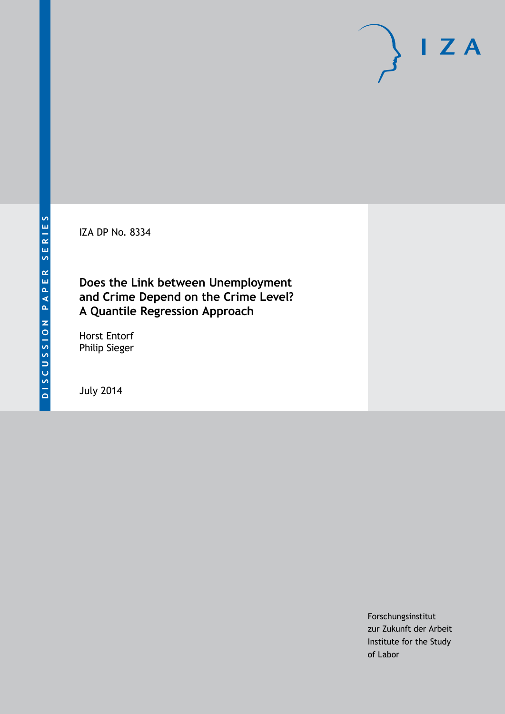IZA DP No. 8334

# **Does the Link between Unemployment and Crime Depend on the Crime Level? A Quantile Regression Approach**

Horst Entorf Philip Sieger

July 2014

Forschungsinstitut zur Zukunft der Arbeit Institute for the Study of Labor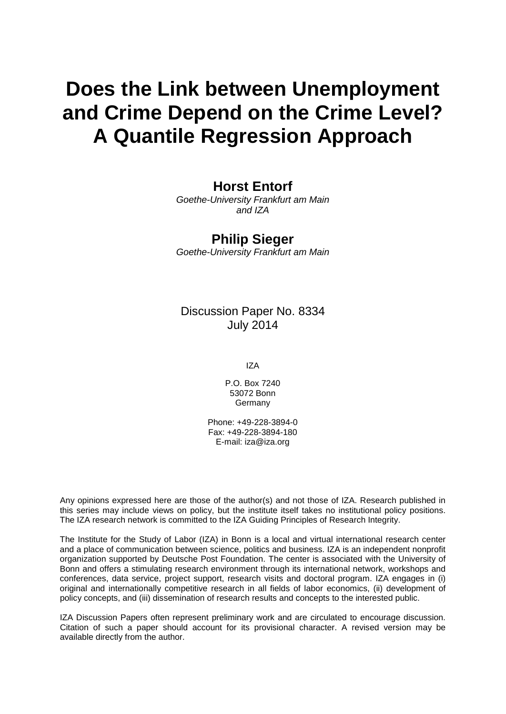# **Does the Link between Unemployment and Crime Depend on the Crime Level? A Quantile Regression Approach**

# **Horst Entorf**

*Goethe-University Frankfurt am Main and IZA*

# **Philip Sieger**

*Goethe-University Frankfurt am Main*

Discussion Paper No. 8334 July 2014

IZA

P.O. Box 7240 53072 Bonn **Germany** 

Phone: +49-228-3894-0 Fax: +49-228-3894-180 E-mail: [iza@iza.org](mailto:iza@iza.org)

Any opinions expressed here are those of the author(s) and not those of IZA. Research published in this series may include views on policy, but the institute itself takes no institutional policy positions. The IZA research network is committed to the IZA Guiding Principles of Research Integrity.

The Institute for the Study of Labor (IZA) in Bonn is a local and virtual international research center and a place of communication between science, politics and business. IZA is an independent nonprofit organization supported by Deutsche Post Foundation. The center is associated with the University of Bonn and offers a stimulating research environment through its international network, workshops and conferences, data service, project support, research visits and doctoral program. IZA engages in (i) original and internationally competitive research in all fields of labor economics, (ii) development of policy concepts, and (iii) dissemination of research results and concepts to the interested public.

IZA Discussion Papers often represent preliminary work and are circulated to encourage discussion. Citation of such a paper should account for its provisional character. A revised version may be available directly from the author.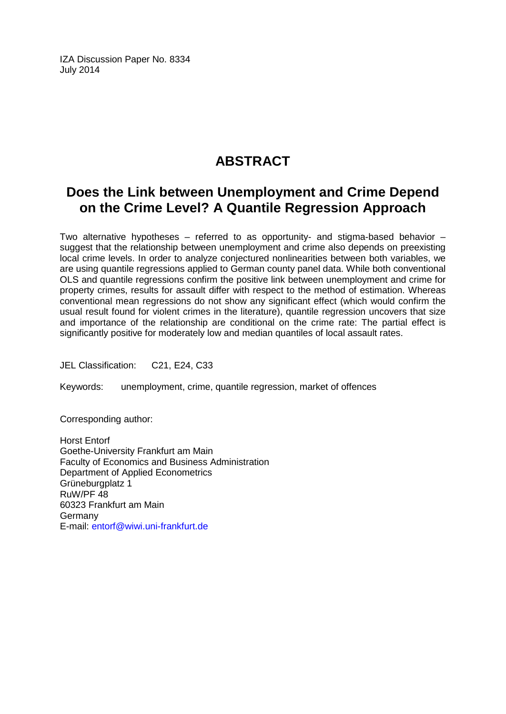IZA Discussion Paper No. 8334 July 2014

# **ABSTRACT**

# **Does the Link between Unemployment and Crime Depend on the Crime Level? A Quantile Regression Approach**

Two alternative hypotheses – referred to as opportunity- and stigma-based behavior – suggest that the relationship between unemployment and crime also depends on preexisting local crime levels. In order to analyze conjectured nonlinearities between both variables, we are using quantile regressions applied to German county panel data. While both conventional OLS and quantile regressions confirm the positive link between unemployment and crime for property crimes, results for assault differ with respect to the method of estimation. Whereas conventional mean regressions do not show any significant effect (which would confirm the usual result found for violent crimes in the literature), quantile regression uncovers that size and importance of the relationship are conditional on the crime rate: The partial effect is significantly positive for moderately low and median quantiles of local assault rates.

JEL Classification: C21, E24, C33

Keywords: unemployment, crime, quantile regression, market of offences

Corresponding author:

Horst Entorf Goethe-University Frankfurt am Main Faculty of Economics and Business Administration Department of Applied Econometrics Grüneburgplatz 1 RuW/PF 48 60323 Frankfurt am Main Germany E-mail: [entorf@wiwi.uni-frankfurt.de](mailto:entorf@wiwi.uni-frankfurt.de)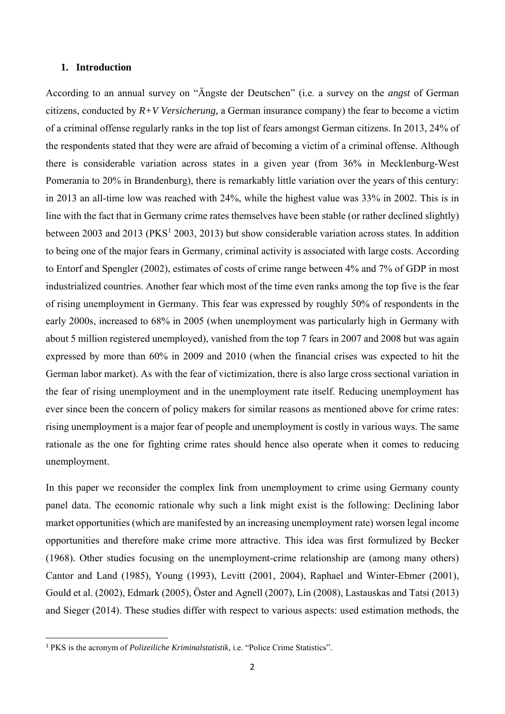## **1. Introduction**

According to an annual survey on "Ängste der Deutschen" (i.e. a survey on the *angst* of German citizens, conducted by *R+V Versicherung,* a German insurance company) the fear to become a victim of a criminal offense regularly ranks in the top list of fears amongst German citizens. In 2013, 24% of the respondents stated that they were are afraid of becoming a victim of a criminal offense. Although there is considerable variation across states in a given year (from 36% in Mecklenburg-West Pomerania to 20% in Brandenburg), there is remarkably little variation over the years of this century: in 2013 an all-time low was reached with 24%, while the highest value was 33% in 2002. This is in line with the fact that in Germany crime rates themselves have been stable (or rather declined slightly) between 2003 and 2013 (PKS<sup>1</sup> 2003, 2013) but show considerable variation across states. In addition to being one of the major fears in Germany, criminal activity is associated with large costs. According to Entorf and Spengler (2002), estimates of costs of crime range between 4% and 7% of GDP in most industrialized countries. Another fear which most of the time even ranks among the top five is the fear of rising unemployment in Germany. This fear was expressed by roughly 50% of respondents in the early 2000s, increased to 68% in 2005 (when unemployment was particularly high in Germany with about 5 million registered unemployed), vanished from the top 7 fears in 2007 and 2008 but was again expressed by more than 60% in 2009 and 2010 (when the financial crises was expected to hit the German labor market). As with the fear of victimization, there is also large cross sectional variation in the fear of rising unemployment and in the unemployment rate itself. Reducing unemployment has ever since been the concern of policy makers for similar reasons as mentioned above for crime rates: rising unemployment is a major fear of people and unemployment is costly in various ways. The same rationale as the one for fighting crime rates should hence also operate when it comes to reducing unemployment.

In this paper we reconsider the complex link from unemployment to crime using Germany county panel data. The economic rationale why such a link might exist is the following: Declining labor market opportunities (which are manifested by an increasing unemployment rate) worsen legal income opportunities and therefore make crime more attractive. This idea was first formulized by Becker (1968). Other studies focusing on the unemployment-crime relationship are (among many others) Cantor and Land (1985), Young (1993), Levitt (2001, 2004), Raphael and Winter-Ebmer (2001), Gould et al. (2002), Edmark (2005), Öster and Agnell (2007), Lin (2008), Lastauskas and Tatsi (2013) and Sieger (2014). These studies differ with respect to various aspects: used estimation methods, the

<sup>1</sup> PKS is the acronym of *Polizeiliche Kriminalstatistik*, i.e. "Police Crime Statistics".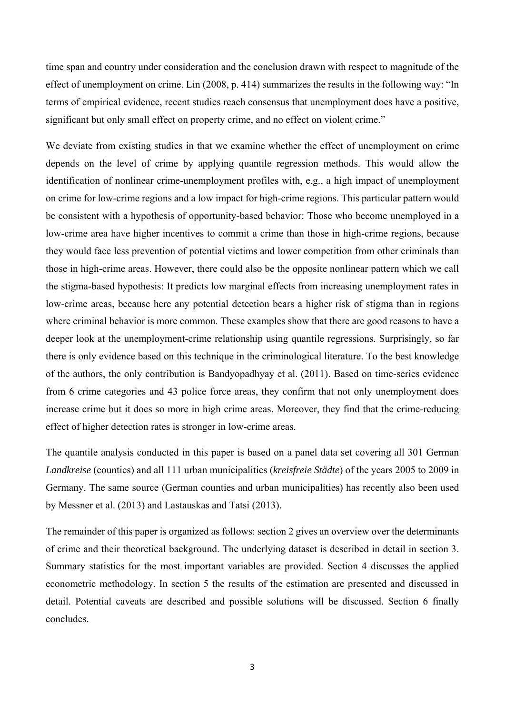time span and country under consideration and the conclusion drawn with respect to magnitude of the effect of unemployment on crime. Lin (2008, p. 414) summarizes the results in the following way: "In terms of empirical evidence, recent studies reach consensus that unemployment does have a positive, significant but only small effect on property crime, and no effect on violent crime."

We deviate from existing studies in that we examine whether the effect of unemployment on crime depends on the level of crime by applying quantile regression methods. This would allow the identification of nonlinear crime-unemployment profiles with, e.g., a high impact of unemployment on crime for low-crime regions and a low impact for high-crime regions. This particular pattern would be consistent with a hypothesis of opportunity-based behavior: Those who become unemployed in a low-crime area have higher incentives to commit a crime than those in high-crime regions, because they would face less prevention of potential victims and lower competition from other criminals than those in high-crime areas. However, there could also be the opposite nonlinear pattern which we call the stigma-based hypothesis: It predicts low marginal effects from increasing unemployment rates in low-crime areas, because here any potential detection bears a higher risk of stigma than in regions where criminal behavior is more common. These examples show that there are good reasons to have a deeper look at the unemployment-crime relationship using quantile regressions. Surprisingly, so far there is only evidence based on this technique in the criminological literature. To the best knowledge of the authors, the only contribution is Bandyopadhyay et al. (2011). Based on time-series evidence from 6 crime categories and 43 police force areas, they confirm that not only unemployment does increase crime but it does so more in high crime areas. Moreover, they find that the crime-reducing effect of higher detection rates is stronger in low-crime areas.

The quantile analysis conducted in this paper is based on a panel data set covering all 301 German *Landkreise* (counties) and all 111 urban municipalities (*kreisfreie Städte*) of the years 2005 to 2009 in Germany. The same source (German counties and urban municipalities) has recently also been used by Messner et al. (2013) and Lastauskas and Tatsi (2013).

The remainder of this paper is organized as follows: section 2 gives an overview over the determinants of crime and their theoretical background. The underlying dataset is described in detail in section 3. Summary statistics for the most important variables are provided. Section 4 discusses the applied econometric methodology. In section 5 the results of the estimation are presented and discussed in detail. Potential caveats are described and possible solutions will be discussed. Section 6 finally concludes.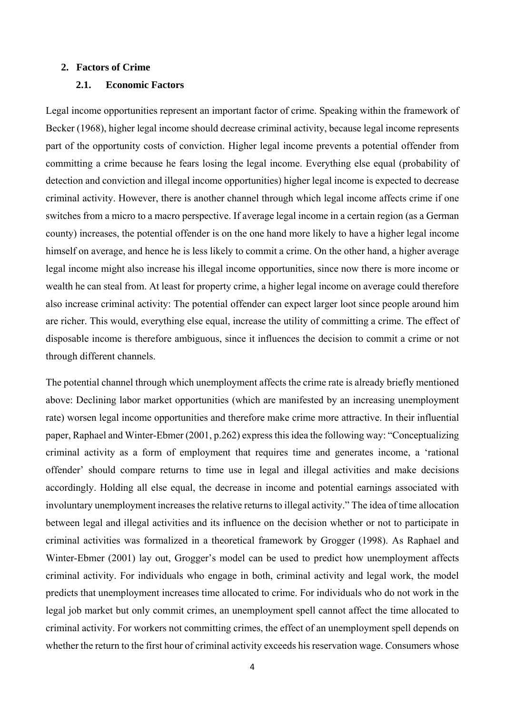#### **2. Factors of Crime**

# **2.1. Economic Factors**

Legal income opportunities represent an important factor of crime. Speaking within the framework of Becker (1968), higher legal income should decrease criminal activity, because legal income represents part of the opportunity costs of conviction. Higher legal income prevents a potential offender from committing a crime because he fears losing the legal income. Everything else equal (probability of detection and conviction and illegal income opportunities) higher legal income is expected to decrease criminal activity. However, there is another channel through which legal income affects crime if one switches from a micro to a macro perspective. If average legal income in a certain region (as a German county) increases, the potential offender is on the one hand more likely to have a higher legal income himself on average, and hence he is less likely to commit a crime. On the other hand, a higher average legal income might also increase his illegal income opportunities, since now there is more income or wealth he can steal from. At least for property crime, a higher legal income on average could therefore also increase criminal activity: The potential offender can expect larger loot since people around him are richer. This would, everything else equal, increase the utility of committing a crime. The effect of disposable income is therefore ambiguous, since it influences the decision to commit a crime or not through different channels.

The potential channel through which unemployment affects the crime rate is already briefly mentioned above: Declining labor market opportunities (which are manifested by an increasing unemployment rate) worsen legal income opportunities and therefore make crime more attractive. In their influential paper, Raphael and Winter-Ebmer (2001, p.262) express this idea the following way: "Conceptualizing criminal activity as a form of employment that requires time and generates income, a 'rational offender' should compare returns to time use in legal and illegal activities and make decisions accordingly. Holding all else equal, the decrease in income and potential earnings associated with involuntary unemployment increases the relative returns to illegal activity." The idea of time allocation between legal and illegal activities and its influence on the decision whether or not to participate in criminal activities was formalized in a theoretical framework by Grogger (1998). As Raphael and Winter-Ebmer (2001) lay out, Grogger's model can be used to predict how unemployment affects criminal activity. For individuals who engage in both, criminal activity and legal work, the model predicts that unemployment increases time allocated to crime. For individuals who do not work in the legal job market but only commit crimes, an unemployment spell cannot affect the time allocated to criminal activity. For workers not committing crimes, the effect of an unemployment spell depends on whether the return to the first hour of criminal activity exceeds his reservation wage. Consumers whose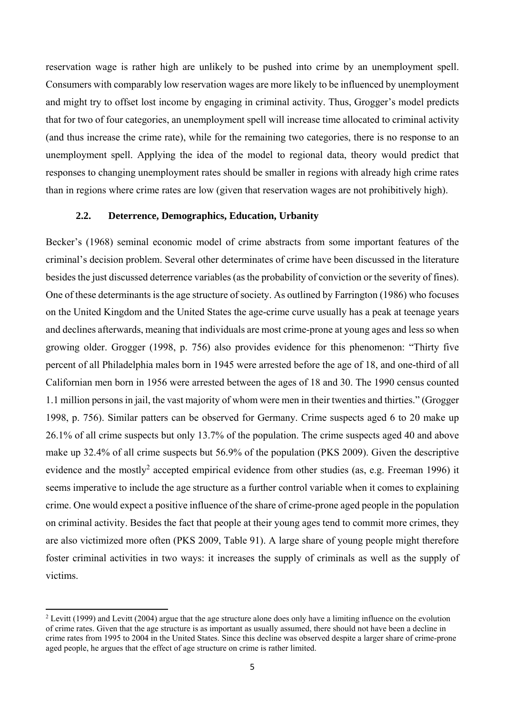reservation wage is rather high are unlikely to be pushed into crime by an unemployment spell. Consumers with comparably low reservation wages are more likely to be influenced by unemployment and might try to offset lost income by engaging in criminal activity. Thus, Grogger's model predicts that for two of four categories, an unemployment spell will increase time allocated to criminal activity (and thus increase the crime rate), while for the remaining two categories, there is no response to an unemployment spell. Applying the idea of the model to regional data, theory would predict that responses to changing unemployment rates should be smaller in regions with already high crime rates than in regions where crime rates are low (given that reservation wages are not prohibitively high).

# **2.2. Deterrence, Demographics, Education, Urbanity**

Becker's (1968) seminal economic model of crime abstracts from some important features of the criminal's decision problem. Several other determinates of crime have been discussed in the literature besides the just discussed deterrence variables (as the probability of conviction or the severity of fines). One of these determinants is the age structure of society. As outlined by Farrington (1986) who focuses on the United Kingdom and the United States the age-crime curve usually has a peak at teenage years and declines afterwards, meaning that individuals are most crime-prone at young ages and less so when growing older. Grogger (1998, p. 756) also provides evidence for this phenomenon: "Thirty five percent of all Philadelphia males born in 1945 were arrested before the age of 18, and one-third of all Californian men born in 1956 were arrested between the ages of 18 and 30. The 1990 census counted 1.1 million persons in jail, the vast majority of whom were men in their twenties and thirties." (Grogger 1998, p. 756). Similar patters can be observed for Germany. Crime suspects aged 6 to 20 make up 26.1% of all crime suspects but only 13.7% of the population. The crime suspects aged 40 and above make up 32.4% of all crime suspects but 56.9% of the population (PKS 2009). Given the descriptive evidence and the mostly<sup>2</sup> accepted empirical evidence from other studies (as, e.g. Freeman 1996) it seems imperative to include the age structure as a further control variable when it comes to explaining crime. One would expect a positive influence of the share of crime-prone aged people in the population on criminal activity. Besides the fact that people at their young ages tend to commit more crimes, they are also victimized more often (PKS 2009, Table 91). A large share of young people might therefore foster criminal activities in two ways: it increases the supply of criminals as well as the supply of victims.

<sup>&</sup>lt;sup>2</sup> Levitt (1999) and Levitt (2004) argue that the age structure alone does only have a limiting influence on the evolution of crime rates. Given that the age structure is as important as usually assumed, there should not have been a decline in crime rates from 1995 to 2004 in the United States. Since this decline was observed despite a larger share of crime-prone aged people, he argues that the effect of age structure on crime is rather limited.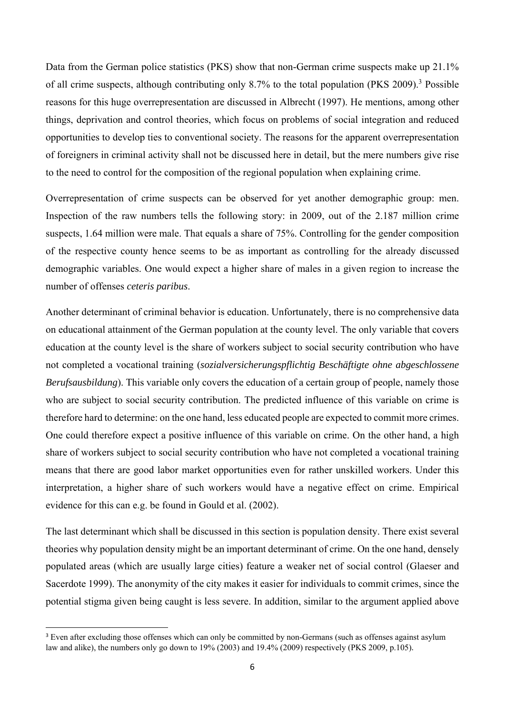Data from the German police statistics (PKS) show that non-German crime suspects make up 21.1% of all crime suspects, although contributing only 8.7% to the total population (PKS 2009).<sup>3</sup> Possible reasons for this huge overrepresentation are discussed in Albrecht (1997). He mentions, among other things, deprivation and control theories, which focus on problems of social integration and reduced opportunities to develop ties to conventional society. The reasons for the apparent overrepresentation of foreigners in criminal activity shall not be discussed here in detail, but the mere numbers give rise to the need to control for the composition of the regional population when explaining crime.

Overrepresentation of crime suspects can be observed for yet another demographic group: men. Inspection of the raw numbers tells the following story: in 2009, out of the 2.187 million crime suspects, 1.64 million were male. That equals a share of 75%. Controlling for the gender composition of the respective county hence seems to be as important as controlling for the already discussed demographic variables. One would expect a higher share of males in a given region to increase the number of offenses *ceteris paribus*.

Another determinant of criminal behavior is education. Unfortunately, there is no comprehensive data on educational attainment of the German population at the county level. The only variable that covers education at the county level is the share of workers subject to social security contribution who have not completed a vocational training (*sozialversicherungspflichtig Beschäftigte ohne abgeschlossene Berufsausbildung*). This variable only covers the education of a certain group of people, namely those who are subject to social security contribution. The predicted influence of this variable on crime is therefore hard to determine: on the one hand, less educated people are expected to commit more crimes. One could therefore expect a positive influence of this variable on crime. On the other hand, a high share of workers subject to social security contribution who have not completed a vocational training means that there are good labor market opportunities even for rather unskilled workers. Under this interpretation, a higher share of such workers would have a negative effect on crime. Empirical evidence for this can e.g. be found in Gould et al. (2002).

The last determinant which shall be discussed in this section is population density. There exist several theories why population density might be an important determinant of crime. On the one hand, densely populated areas (which are usually large cities) feature a weaker net of social control (Glaeser and Sacerdote 1999). The anonymity of the city makes it easier for individuals to commit crimes, since the potential stigma given being caught is less severe. In addition, similar to the argument applied above

<sup>&</sup>lt;sup>3</sup> Even after excluding those offenses which can only be committed by non-Germans (such as offenses against asylum law and alike), the numbers only go down to 19% (2003) and 19.4% (2009) respectively (PKS 2009, p.105).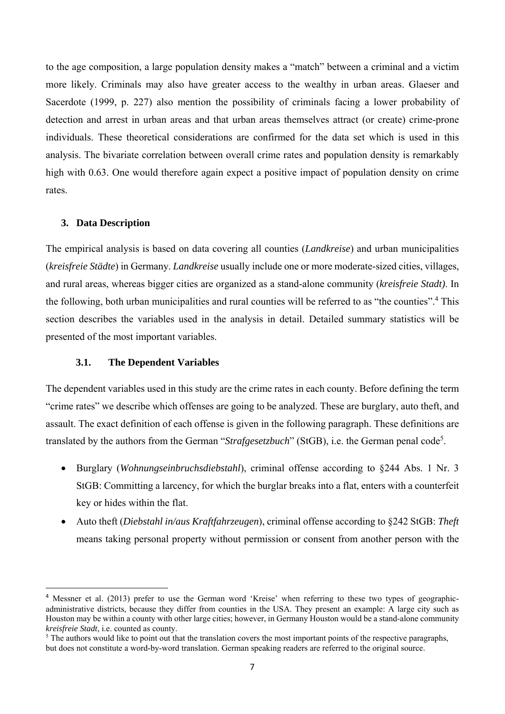to the age composition, a large population density makes a "match" between a criminal and a victim more likely. Criminals may also have greater access to the wealthy in urban areas. Glaeser and Sacerdote (1999, p. 227) also mention the possibility of criminals facing a lower probability of detection and arrest in urban areas and that urban areas themselves attract (or create) crime-prone individuals. These theoretical considerations are confirmed for the data set which is used in this analysis. The bivariate correlation between overall crime rates and population density is remarkably high with 0.63. One would therefore again expect a positive impact of population density on crime rates.

## **3. Data Description**

The empirical analysis is based on data covering all counties (*Landkreise*) and urban municipalities (*kreisfreie Städte*) in Germany. *Landkreise* usually include one or more moderate-sized cities, villages, and rural areas, whereas bigger cities are organized as a stand-alone community (*kreisfreie Stadt)*. In the following, both urban municipalities and rural counties will be referred to as "the counties".<sup>4</sup> This section describes the variables used in the analysis in detail. Detailed summary statistics will be presented of the most important variables.

## **3.1. The Dependent Variables**

The dependent variables used in this study are the crime rates in each county. Before defining the term "crime rates" we describe which offenses are going to be analyzed. These are burglary, auto theft, and assault. The exact definition of each offense is given in the following paragraph. These definitions are translated by the authors from the German "*Strafgesetzbuch*" (StGB), i.e. the German penal code<sup>5</sup>.

- Burglary (*Wohnungseinbruchsdiebstahl*), criminal offense according to §244 Abs. 1 Nr. 3 StGB: Committing a larcency, for which the burglar breaks into a flat, enters with a counterfeit key or hides within the flat.
- Auto theft (*Diebstahl in/aus Kraftfahrzeugen*), criminal offense according to §242 StGB: *Theft* means taking personal property without permission or consent from another person with the

<sup>&</sup>lt;sup>4</sup> Messner et al. (2013) prefer to use the German word 'Kreise' when referring to these two types of geographicadministrative districts, because they differ from counties in the USA. They present an example: A large city such as Houston may be within a county with other large cities; however, in Germany Houston would be a stand-alone community *kreisfreie Stadt*, i.e. counted as county.

 $<sup>5</sup>$  The authors would like to point out that the translation covers the most important points of the respective paragraphs,</sup> but does not constitute a word-by-word translation. German speaking readers are referred to the original source.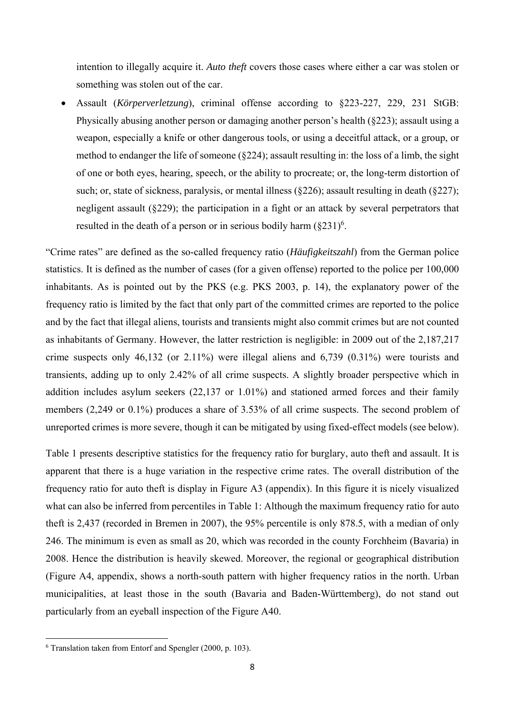intention to illegally acquire it. *Auto theft* covers those cases where either a car was stolen or something was stolen out of the car.

 Assault (*Körperverletzung*), criminal offense according to §223-227, 229, 231 StGB: Physically abusing another person or damaging another person's health (§223); assault using a weapon, especially a knife or other dangerous tools, or using a deceitful attack, or a group, or method to endanger the life of someone (§224); assault resulting in: the loss of a limb, the sight of one or both eyes, hearing, speech, or the ability to procreate; or, the long-term distortion of such; or, state of sickness, paralysis, or mental illness (§226); assault resulting in death (§227); negligent assault (§229); the participation in a fight or an attack by several perpetrators that resulted in the death of a person or in serious bodily harm  $(\S 231)^6$ .

"Crime rates" are defined as the so-called frequency ratio (*Häufigkeitszahl*) from the German police statistics. It is defined as the number of cases (for a given offense) reported to the police per 100,000 inhabitants. As is pointed out by the PKS (e.g. PKS 2003, p. 14), the explanatory power of the frequency ratio is limited by the fact that only part of the committed crimes are reported to the police and by the fact that illegal aliens, tourists and transients might also commit crimes but are not counted as inhabitants of Germany. However, the latter restriction is negligible: in 2009 out of the 2,187,217 crime suspects only 46,132 (or 2.11%) were illegal aliens and 6,739 (0.31%) were tourists and transients, adding up to only 2.42% of all crime suspects. A slightly broader perspective which in addition includes asylum seekers (22,137 or 1.01%) and stationed armed forces and their family members (2,249 or 0.1%) produces a share of 3.53% of all crime suspects. The second problem of unreported crimes is more severe, though it can be mitigated by using fixed-effect models (see below).

Table 1 presents descriptive statistics for the frequency ratio for burglary, auto theft and assault. It is apparent that there is a huge variation in the respective crime rates. The overall distribution of the frequency ratio for auto theft is display in Figure A3 (appendix). In this figure it is nicely visualized what can also be inferred from percentiles in Table 1: Although the maximum frequency ratio for auto theft is 2,437 (recorded in Bremen in 2007), the 95% percentile is only 878.5, with a median of only 246. The minimum is even as small as 20, which was recorded in the county Forchheim (Bavaria) in 2008. Hence the distribution is heavily skewed. Moreover, the regional or geographical distribution (Figure A4, appendix, shows a north-south pattern with higher frequency ratios in the north. Urban municipalities, at least those in the south (Bavaria and Baden-Württemberg), do not stand out particularly from an eyeball inspection of the Figure A40.

<sup>6</sup> Translation taken from Entorf and Spengler (2000, p. 103).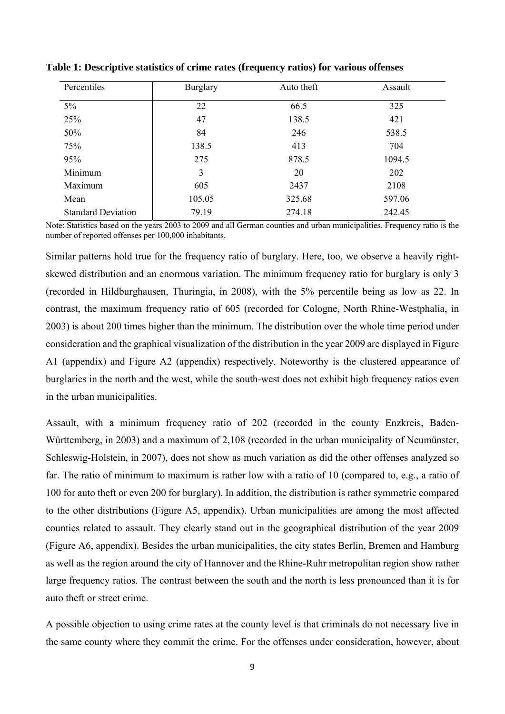| Percentiles               | <b>Burglary</b> | Auto theft | Assault |
|---------------------------|-----------------|------------|---------|
| $5\%$                     | 22              | 66.5       | 325     |
| 25%                       | 47              | 138.5      | 421     |
| 50%                       | 84              | 246        | 538.5   |
| 75%                       | 138.5           | 413        | 704     |
| 95%                       | 275             | 878.5      | 1094.5  |
| Minimum                   | 3               | 20         | 202     |
| Maximum                   | 605             | 2437       | 2108    |
| Mean                      | 105.05          | 325.68     | 597.06  |
| <b>Standard Deviation</b> | 79.19           | 274.18     | 242.45  |

**Table 1: Descriptive statistics of crime rates (frequency ratios) for various offenses** 

Note: Statistics based on the years 2003 to 2009 and all German counties and urban municipalities. Frequency ratio is the number of reported offenses per 100,000 inhabitants.

Similar patterns hold true for the frequency ratio of burglary. Here, too, we observe a heavily rightskewed distribution and an enormous variation. The minimum frequency ratio for burglary is only 3 (recorded in Hildburghausen, Thuringia, in 2008), with the 5% percentile being as low as 22. In contrast, the maximum frequency ratio of 605 (recorded for Cologne, North Rhine-Westphalia, in 2003) is about 200 times higher than the minimum. The distribution over the whole time period under consideration and the graphical visualization of the distribution in the year 2009 are displayed in Figure A1 (appendix) and Figure A2 (appendix) respectively. Noteworthy is the clustered appearance of burglaries in the north and the west, while the south-west does not exhibit high frequency ratios even in the urban municipalities.

Assault, with a minimum frequency ratio of 202 (recorded in the county Enzkreis, Baden-Württemberg, in 2003) and a maximum of 2,108 (recorded in the urban municipality of Neumünster, Schleswig-Holstein, in 2007), does not show as much variation as did the other offenses analyzed so far. The ratio of minimum to maximum is rather low with a ratio of 10 (compared to, e.g., a ratio of 100 for auto theft or even 200 for burglary). In addition, the distribution is rather symmetric compared to the other distributions (Figure A5, appendix). Urban municipalities are among the most affected counties related to assault. They clearly stand out in the geographical distribution of the year 2009 (Figure A6, appendix). Besides the urban municipalities, the city states Berlin, Bremen and Hamburg as well as the region around the city of Hannover and the Rhine-Ruhr metropolitan region show rather large frequency ratios. The contrast between the south and the north is less pronounced than it is for auto theft or street crime.

A possible objection to using crime rates at the county level is that criminals do not necessary live in the same county where they commit the crime. For the offenses under consideration, however, about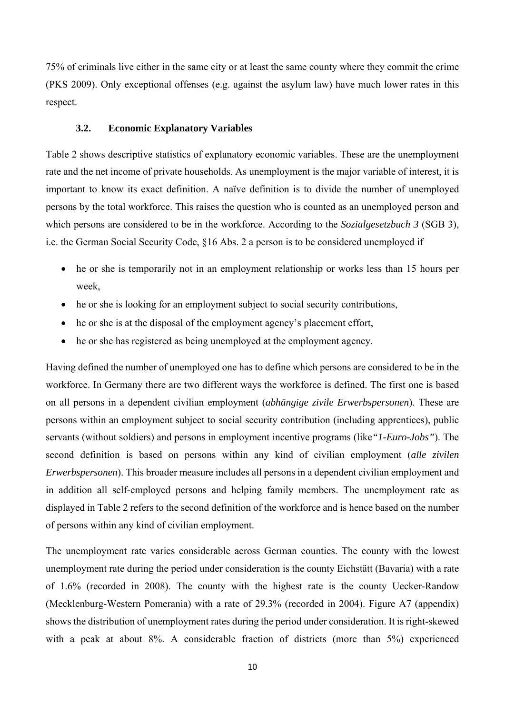75% of criminals live either in the same city or at least the same county where they commit the crime (PKS 2009). Only exceptional offenses (e.g. against the asylum law) have much lower rates in this respect.

# **3.2. Economic Explanatory Variables**

Table 2 shows descriptive statistics of explanatory economic variables. These are the unemployment rate and the net income of private households. As unemployment is the major variable of interest, it is important to know its exact definition. A naïve definition is to divide the number of unemployed persons by the total workforce. This raises the question who is counted as an unemployed person and which persons are considered to be in the workforce. According to the *Sozialgesetzbuch 3* (SGB 3), i.e. the German Social Security Code, §16 Abs. 2 a person is to be considered unemployed if

- he or she is temporarily not in an employment relationship or works less than 15 hours per week,
- he or she is looking for an employment subject to social security contributions,
- he or she is at the disposal of the employment agency's placement effort,
- he or she has registered as being unemployed at the employment agency.

Having defined the number of unemployed one has to define which persons are considered to be in the workforce. In Germany there are two different ways the workforce is defined. The first one is based on all persons in a dependent civilian employment (*abhängige zivile Erwerbspersonen*). These are persons within an employment subject to social security contribution (including apprentices), public servants (without soldiers) and persons in employment incentive programs (like*"1-Euro-Jobs"*). The second definition is based on persons within any kind of civilian employment (*alle zivilen Erwerbspersonen*). This broader measure includes all persons in a dependent civilian employment and in addition all self-employed persons and helping family members. The unemployment rate as displayed in Table 2 refers to the second definition of the workforce and is hence based on the number of persons within any kind of civilian employment.

The unemployment rate varies considerable across German counties. The county with the lowest unemployment rate during the period under consideration is the county Eichstätt (Bavaria) with a rate of 1.6% (recorded in 2008). The county with the highest rate is the county Uecker-Randow (Mecklenburg-Western Pomerania) with a rate of 29.3% (recorded in 2004). Figure A7 (appendix) shows the distribution of unemployment rates during the period under consideration. It is right-skewed with a peak at about 8%. A considerable fraction of districts (more than 5%) experienced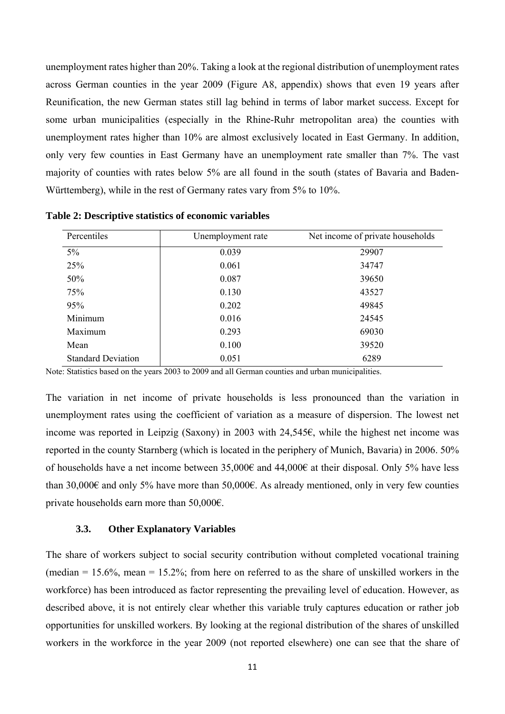unemployment rates higher than 20%. Taking a look at the regional distribution of unemployment rates across German counties in the year 2009 (Figure A8, appendix) shows that even 19 years after Reunification, the new German states still lag behind in terms of labor market success. Except for some urban municipalities (especially in the Rhine-Ruhr metropolitan area) the counties with unemployment rates higher than 10% are almost exclusively located in East Germany. In addition, only very few counties in East Germany have an unemployment rate smaller than 7%. The vast majority of counties with rates below 5% are all found in the south (states of Bavaria and Baden-Württemberg), while in the rest of Germany rates vary from 5% to 10%.

| Percentiles               | Unemployment rate | Net income of private households |
|---------------------------|-------------------|----------------------------------|
| $5\%$                     | 0.039             | 29907                            |
| 25%                       | 0.061             | 34747                            |
| 50%                       | 0.087             | 39650                            |
| 75%                       | 0.130             | 43527                            |
| 95%                       | 0.202             | 49845                            |
| Minimum                   | 0.016             | 24545                            |
| Maximum                   | 0.293             | 69030                            |
| Mean                      | 0.100             | 39520                            |
| <b>Standard Deviation</b> | 0.051             | 6289                             |

**Table 2: Descriptive statistics of economic variables** 

Note: Statistics based on the years 2003 to 2009 and all German counties and urban municipalities.

The variation in net income of private households is less pronounced than the variation in unemployment rates using the coefficient of variation as a measure of dispersion. The lowest net income was reported in Leipzig (Saxony) in 2003 with 24,545€, while the highest net income was reported in the county Starnberg (which is located in the periphery of Munich, Bavaria) in 2006. 50% of households have a net income between 35,000€ and 44,000€ at their disposal. Only 5% have less than 30,000€ and only 5% have more than 50,000€. As already mentioned, only in very few counties private households earn more than 50,000€.

## **3.3. Other Explanatory Variables**

The share of workers subject to social security contribution without completed vocational training (median  $= 15.6\%$ , mean  $= 15.2\%$ ; from here on referred to as the share of unskilled workers in the workforce) has been introduced as factor representing the prevailing level of education. However, as described above, it is not entirely clear whether this variable truly captures education or rather job opportunities for unskilled workers. By looking at the regional distribution of the shares of unskilled workers in the workforce in the year 2009 (not reported elsewhere) one can see that the share of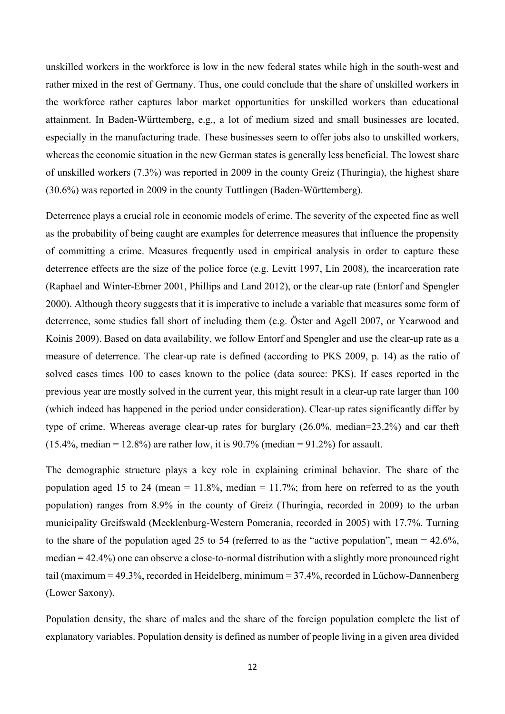unskilled workers in the workforce is low in the new federal states while high in the south-west and rather mixed in the rest of Germany. Thus, one could conclude that the share of unskilled workers in the workforce rather captures labor market opportunities for unskilled workers than educational attainment. In Baden-Württemberg, e.g., a lot of medium sized and small businesses are located, especially in the manufacturing trade. These businesses seem to offer jobs also to unskilled workers, whereas the economic situation in the new German states is generally less beneficial. The lowest share of unskilled workers (7.3%) was reported in 2009 in the county Greiz (Thuringia), the highest share (30.6%) was reported in 2009 in the county Tuttlingen (Baden-Württemberg).

Deterrence plays a crucial role in economic models of crime. The severity of the expected fine as well as the probability of being caught are examples for deterrence measures that influence the propensity of committing a crime. Measures frequently used in empirical analysis in order to capture these deterrence effects are the size of the police force (e.g. Levitt 1997, Lin 2008), the incarceration rate (Raphael and Winter-Ebmer 2001, Phillips and Land 2012), or the clear-up rate (Entorf and Spengler 2000). Although theory suggests that it is imperative to include a variable that measures some form of deterrence, some studies fall short of including them (e.g. Öster and Agell 2007, or Yearwood and Koinis 2009). Based on data availability, we follow Entorf and Spengler and use the clear-up rate as a measure of deterrence. The clear-up rate is defined (according to PKS 2009, p. 14) as the ratio of solved cases times 100 to cases known to the police (data source: PKS). If cases reported in the previous year are mostly solved in the current year, this might result in a clear-up rate larger than 100 (which indeed has happened in the period under consideration). Clear-up rates significantly differ by type of crime. Whereas average clear-up rates for burglary (26.0%, median=23.2%) and car theft  $(15.4\%$ , median = 12.8%) are rather low, it is 90.7% (median = 91.2%) for assault.

The demographic structure plays a key role in explaining criminal behavior. The share of the population aged 15 to 24 (mean =  $11.8\%$ , median =  $11.7\%$ ; from here on referred to as the youth population) ranges from 8.9% in the county of Greiz (Thuringia, recorded in 2009) to the urban municipality Greifswald (Mecklenburg-Western Pomerania, recorded in 2005) with 17.7%. Turning to the share of the population aged 25 to 54 (referred to as the "active population", mean  $= 42.6\%$ , median = 42.4%) one can observe a close-to-normal distribution with a slightly more pronounced right tail (maximum = 49.3%, recorded in Heidelberg, minimum = 37.4%, recorded in Lüchow-Dannenberg (Lower Saxony).

Population density, the share of males and the share of the foreign population complete the list of explanatory variables. Population density is defined as number of people living in a given area divided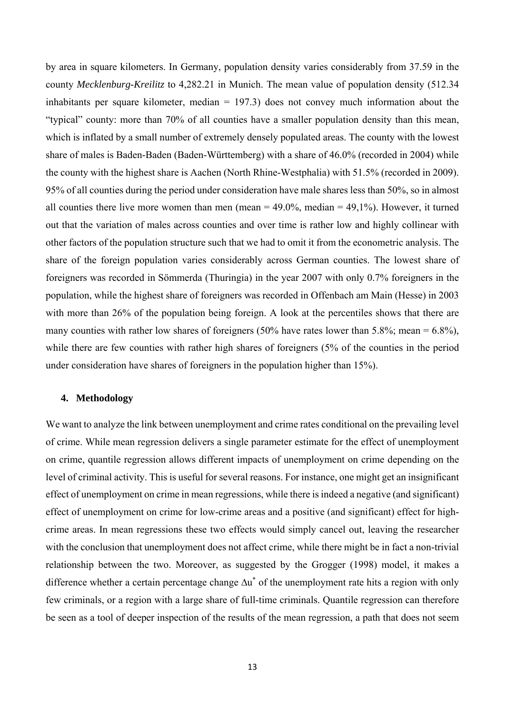by area in square kilometers. In Germany, population density varies considerably from 37.59 in the county *Mecklenburg-Kreilitz* to 4,282.21 in Munich. The mean value of population density (512.34 inhabitants per square kilometer, median = 197.3) does not convey much information about the "typical" county: more than 70% of all counties have a smaller population density than this mean, which is inflated by a small number of extremely densely populated areas. The county with the lowest share of males is Baden-Baden (Baden-Württemberg) with a share of 46.0% (recorded in 2004) while the county with the highest share is Aachen (North Rhine-Westphalia) with 51.5% (recorded in 2009). 95% of all counties during the period under consideration have male shares less than 50%, so in almost all counties there live more women than men (mean  $= 49.0\%$ , median  $= 49.1\%$ ). However, it turned out that the variation of males across counties and over time is rather low and highly collinear with other factors of the population structure such that we had to omit it from the econometric analysis. The share of the foreign population varies considerably across German counties. The lowest share of foreigners was recorded in Sömmerda (Thuringia) in the year 2007 with only 0.7% foreigners in the population, while the highest share of foreigners was recorded in Offenbach am Main (Hesse) in 2003 with more than 26% of the population being foreign. A look at the percentiles shows that there are many counties with rather low shares of foreigners (50% have rates lower than 5.8%; mean =  $6.8\%$ ), while there are few counties with rather high shares of foreigners (5% of the counties in the period under consideration have shares of foreigners in the population higher than 15%).

## **4. Methodology**

We want to analyze the link between unemployment and crime rates conditional on the prevailing level of crime. While mean regression delivers a single parameter estimate for the effect of unemployment on crime, quantile regression allows different impacts of unemployment on crime depending on the level of criminal activity. This is useful for several reasons. For instance, one might get an insignificant effect of unemployment on crime in mean regressions, while there is indeed a negative (and significant) effect of unemployment on crime for low-crime areas and a positive (and significant) effect for highcrime areas. In mean regressions these two effects would simply cancel out, leaving the researcher with the conclusion that unemployment does not affect crime, while there might be in fact a non-trivial relationship between the two. Moreover, as suggested by the Grogger (1998) model, it makes a difference whether a certain percentage change  $\Delta u^*$  of the unemployment rate hits a region with only few criminals, or a region with a large share of full-time criminals. Quantile regression can therefore be seen as a tool of deeper inspection of the results of the mean regression, a path that does not seem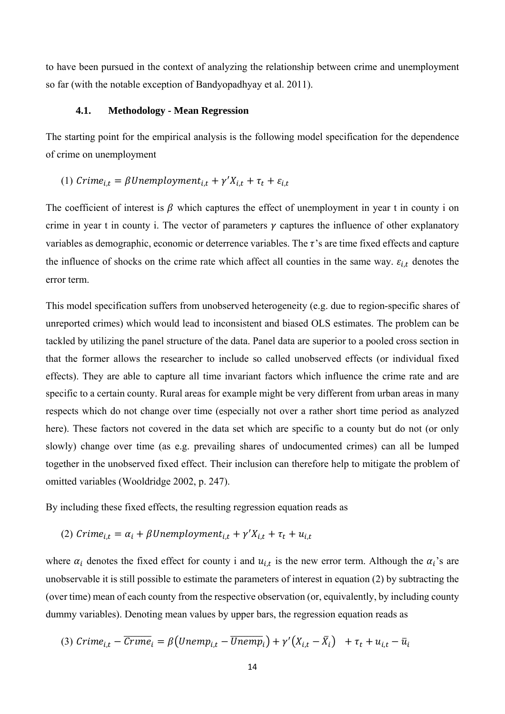to have been pursued in the context of analyzing the relationship between crime and unemployment so far (with the notable exception of Bandyopadhyay et al. 2011).

# **4.1. Methodology - Mean Regression**

The starting point for the empirical analysis is the following model specification for the dependence of crime on unemployment

# (1)  $C$ rime<sub>i,t</sub> =  $\beta$ Unemployment<sub>i,t</sub> +  $\gamma' X_{i,t} + \tau_t + \varepsilon_{i,t}$

The coefficient of interest is  $\beta$  which captures the effect of unemployment in year t in county i on crime in year t in county i. The vector of parameters  $\gamma$  captures the influence of other explanatory variables as demographic, economic or deterrence variables. The  $\tau$ 's are time fixed effects and capture the influence of shocks on the crime rate which affect all counties in the same way.  $\varepsilon_{i,t}$  denotes the error term.

This model specification suffers from unobserved heterogeneity (e.g. due to region-specific shares of unreported crimes) which would lead to inconsistent and biased OLS estimates. The problem can be tackled by utilizing the panel structure of the data. Panel data are superior to a pooled cross section in that the former allows the researcher to include so called unobserved effects (or individual fixed effects). They are able to capture all time invariant factors which influence the crime rate and are specific to a certain county. Rural areas for example might be very different from urban areas in many respects which do not change over time (especially not over a rather short time period as analyzed here). These factors not covered in the data set which are specific to a county but do not (or only slowly) change over time (as e.g. prevailing shares of undocumented crimes) can all be lumped together in the unobserved fixed effect. Their inclusion can therefore help to mitigate the problem of omitted variables (Wooldridge 2002, p. 247).

By including these fixed effects, the resulting regression equation reads as

(2) 
$$
Crime_{i,t} = \alpha_i + \beta Unemployment_{i,t} + \gamma'X_{i,t} + \tau_t + u_{i,t}
$$

where  $\alpha_i$  denotes the fixed effect for county i and  $u_{i,t}$  is the new error term. Although the  $\alpha_i$ 's are unobservable it is still possible to estimate the parameters of interest in equation (2) by subtracting the (over time) mean of each county from the respective observation (or, equivalently, by including county dummy variables). Denoting mean values by upper bars, the regression equation reads as

(3) 
$$
C \text{time}_{i,t} - \overline{C \text{time}}_i = \beta \big( \text{Unemp}_{i,t} - \overline{\text{Unemp}}_i \big) + \gamma' \big( X_{i,t} - \overline{X}_i \big) + \tau_t + u_{i,t} - \overline{u}_i
$$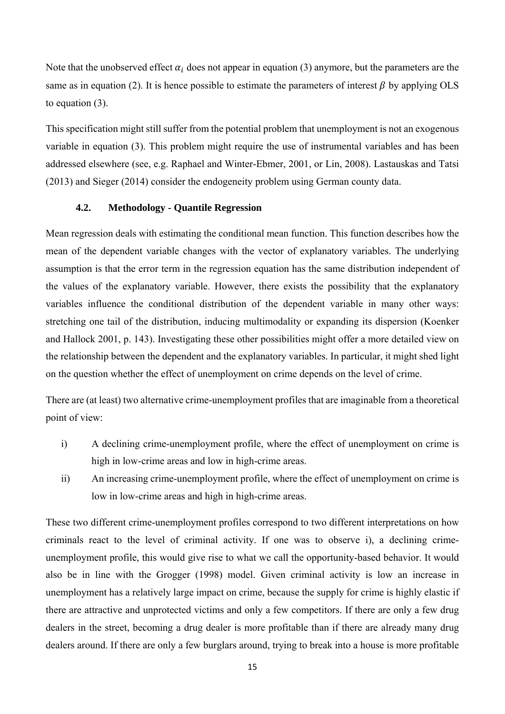Note that the unobserved effect  $\alpha_i$  does not appear in equation (3) anymore, but the parameters are the same as in equation (2). It is hence possible to estimate the parameters of interest  $\beta$  by applying OLS to equation (3).

This specification might still suffer from the potential problem that unemployment is not an exogenous variable in equation (3). This problem might require the use of instrumental variables and has been addressed elsewhere (see, e.g. Raphael and Winter-Ebmer, 2001, or Lin, 2008). Lastauskas and Tatsi (2013) and Sieger (2014) consider the endogeneity problem using German county data.

## **4.2. Methodology - Quantile Regression**

Mean regression deals with estimating the conditional mean function. This function describes how the mean of the dependent variable changes with the vector of explanatory variables. The underlying assumption is that the error term in the regression equation has the same distribution independent of the values of the explanatory variable. However, there exists the possibility that the explanatory variables influence the conditional distribution of the dependent variable in many other ways: stretching one tail of the distribution, inducing multimodality or expanding its dispersion (Koenker and Hallock 2001, p. 143). Investigating these other possibilities might offer a more detailed view on the relationship between the dependent and the explanatory variables. In particular, it might shed light on the question whether the effect of unemployment on crime depends on the level of crime.

There are (at least) two alternative crime-unemployment profiles that are imaginable from a theoretical point of view:

- i) A declining crime-unemployment profile, where the effect of unemployment on crime is high in low-crime areas and low in high-crime areas.
- ii) An increasing crime-unemployment profile, where the effect of unemployment on crime is low in low-crime areas and high in high-crime areas.

These two different crime-unemployment profiles correspond to two different interpretations on how criminals react to the level of criminal activity. If one was to observe i), a declining crimeunemployment profile, this would give rise to what we call the opportunity-based behavior. It would also be in line with the Grogger (1998) model. Given criminal activity is low an increase in unemployment has a relatively large impact on crime, because the supply for crime is highly elastic if there are attractive and unprotected victims and only a few competitors. If there are only a few drug dealers in the street, becoming a drug dealer is more profitable than if there are already many drug dealers around. If there are only a few burglars around, trying to break into a house is more profitable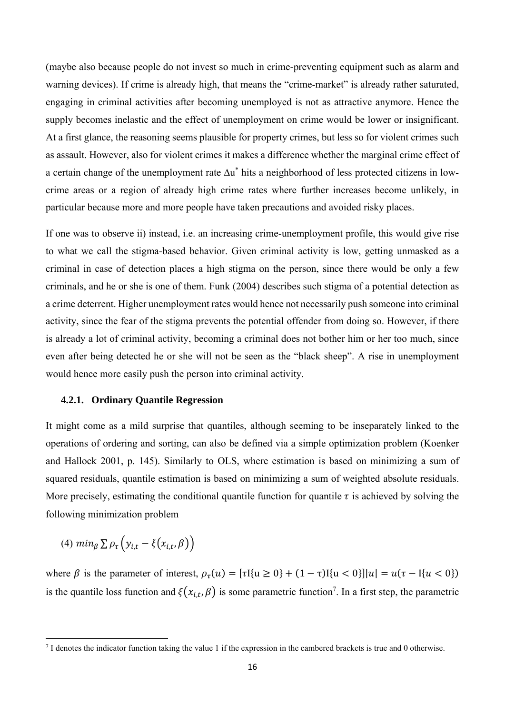(maybe also because people do not invest so much in crime-preventing equipment such as alarm and warning devices). If crime is already high, that means the "crime-market" is already rather saturated, engaging in criminal activities after becoming unemployed is not as attractive anymore. Hence the supply becomes inelastic and the effect of unemployment on crime would be lower or insignificant. At a first glance, the reasoning seems plausible for property crimes, but less so for violent crimes such as assault. However, also for violent crimes it makes a difference whether the marginal crime effect of a certain change of the unemployment rate ∆u\* hits a neighborhood of less protected citizens in lowcrime areas or a region of already high crime rates where further increases become unlikely, in particular because more and more people have taken precautions and avoided risky places.

If one was to observe ii) instead, i.e. an increasing crime-unemployment profile, this would give rise to what we call the stigma-based behavior. Given criminal activity is low, getting unmasked as a criminal in case of detection places a high stigma on the person, since there would be only a few criminals, and he or she is one of them. Funk (2004) describes such stigma of a potential detection as a crime deterrent. Higher unemployment rates would hence not necessarily push someone into criminal activity, since the fear of the stigma prevents the potential offender from doing so. However, if there is already a lot of criminal activity, becoming a criminal does not bother him or her too much, since even after being detected he or she will not be seen as the "black sheep". A rise in unemployment would hence more easily push the person into criminal activity.

#### **4.2.1. Ordinary Quantile Regression**

It might come as a mild surprise that quantiles, although seeming to be inseparately linked to the operations of ordering and sorting, can also be defined via a simple optimization problem (Koenker and Hallock 2001, p. 145). Similarly to OLS, where estimation is based on minimizing a sum of squared residuals, quantile estimation is based on minimizing a sum of weighted absolute residuals. More precisely, estimating the conditional quantile function for quantile  $\tau$  is achieved by solving the following minimization problem

$$
(4) \ min_{\beta} \sum \rho_{\tau} \left( y_{i,t} - \xi \left( x_{i,t}, \beta \right) \right)
$$

where  $\beta$  is the parameter of interest,  $\rho_{\tau}(u) = [\tau[\{u \ge 0\} + (1-\tau)]\{u < 0\}][u] = u(\tau - [\{u < 0\})$ is the quantile loss function and  $\xi(x_{i,t}, \beta)$  is some parametric function<sup>7</sup>. In a first step, the parametric

<sup>7</sup> I denotes the indicator function taking the value 1 if the expression in the cambered brackets is true and 0 otherwise.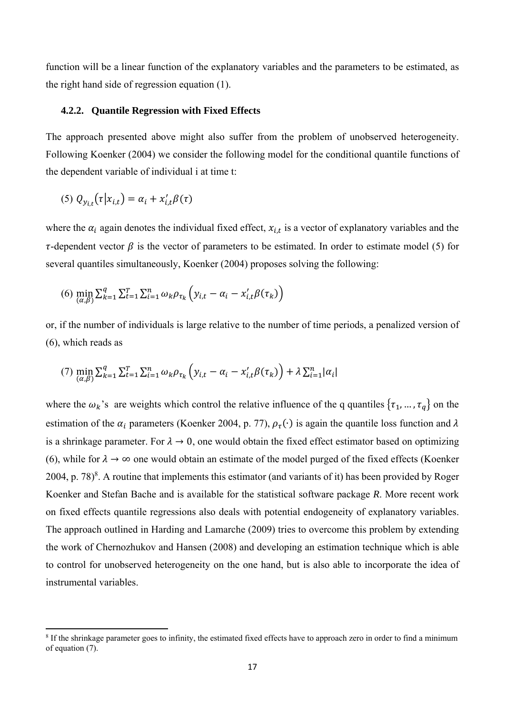function will be a linear function of the explanatory variables and the parameters to be estimated, as the right hand side of regression equation (1).

# **4.2.2. Quantile Regression with Fixed Effects**

The approach presented above might also suffer from the problem of unobserved heterogeneity. Following Koenker (2004) we consider the following model for the conditional quantile functions of the dependent variable of individual i at time t:

$$
(5) Q_{y_{i,t}}(\tau | x_{i,t}) = \alpha_i + x'_{i,t} \beta(\tau)
$$

where the  $\alpha_i$  again denotes the individual fixed effect,  $x_{i,t}$  is a vector of explanatory variables and the  $\tau$ -dependent vector  $\beta$  is the vector of parameters to be estimated. In order to estimate model (5) for several quantiles simultaneously, Koenker (2004) proposes solving the following:

(6) 
$$
\min_{(\alpha,\beta)} \sum_{k=1}^{q} \sum_{t=1}^{T} \sum_{i=1}^{n} \omega_k \rho_{\tau_k} \left( y_{i,t} - \alpha_i - x'_{i,t} \beta(\tau_k) \right)
$$

or, if the number of individuals is large relative to the number of time periods, a penalized version of (6), which reads as

(7) 
$$
\min_{(\alpha,\beta)} \sum_{k=1}^{q} \sum_{t=1}^{T} \sum_{i=1}^{n} \omega_{k} \rho_{\tau_{k}} \left( y_{i,t} - \alpha_{i} - x'_{i,t} \beta(\tau_{k}) \right) + \lambda \sum_{i=1}^{n} |\alpha_{i}|
$$

where the  $\omega_k$ 's are weights which control the relative influence of the q quantiles  $\{\tau_1, \dots, \tau_q\}$  on the estimation of the  $\alpha_i$  parameters (Koenker 2004, p. 77),  $\rho_\tau(\cdot)$  is again the quantile loss function and  $\lambda$ is a shrinkage parameter. For  $\lambda \to 0$ , one would obtain the fixed effect estimator based on optimizing (6), while for  $\lambda \to \infty$  one would obtain an estimate of the model purged of the fixed effects (Koenker 2004, p. 78 $)^8$ . A routine that implements this estimator (and variants of it) has been provided by Roger Koenker and Stefan Bache and is available for the statistical software package *R*. More recent work on fixed effects quantile regressions also deals with potential endogeneity of explanatory variables. The approach outlined in Harding and Lamarche (2009) tries to overcome this problem by extending the work of Chernozhukov and Hansen (2008) and developing an estimation technique which is able to control for unobserved heterogeneity on the one hand, but is also able to incorporate the idea of instrumental variables.

<sup>&</sup>lt;sup>8</sup> If the shrinkage parameter goes to infinity, the estimated fixed effects have to approach zero in order to find a minimum of equation (7).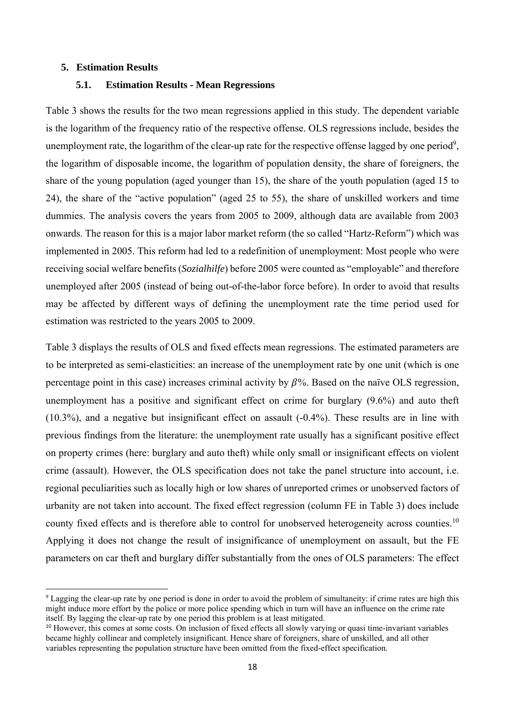#### **5. Estimation Results**

## **5.1. Estimation Results - Mean Regressions**

Table 3 shows the results for the two mean regressions applied in this study. The dependent variable is the logarithm of the frequency ratio of the respective offense. OLS regressions include, besides the unemployment rate, the logarithm of the clear-up rate for the respective offense lagged by one period<sup>9</sup>, the logarithm of disposable income, the logarithm of population density, the share of foreigners, the share of the young population (aged younger than 15), the share of the youth population (aged 15 to 24), the share of the "active population" (aged 25 to 55), the share of unskilled workers and time dummies. The analysis covers the years from 2005 to 2009, although data are available from 2003 onwards. The reason for this is a major labor market reform (the so called "Hartz-Reform") which was implemented in 2005. This reform had led to a redefinition of unemployment: Most people who were receiving social welfare benefits (*Sozialhilfe*) before 2005 were counted as "employable" and therefore unemployed after 2005 (instead of being out-of-the-labor force before). In order to avoid that results may be affected by different ways of defining the unemployment rate the time period used for estimation was restricted to the years 2005 to 2009.

Table 3 displays the results of OLS and fixed effects mean regressions. The estimated parameters are to be interpreted as semi-elasticities: an increase of the unemployment rate by one unit (which is one percentage point in this case) increases criminal activity by  $\beta\%$ . Based on the naïve OLS regression, unemployment has a positive and significant effect on crime for burglary (9.6%) and auto theft (10.3%), and a negative but insignificant effect on assault (-0.4%). These results are in line with previous findings from the literature: the unemployment rate usually has a significant positive effect on property crimes (here: burglary and auto theft) while only small or insignificant effects on violent crime (assault). However, the OLS specification does not take the panel structure into account, i.e. regional peculiarities such as locally high or low shares of unreported crimes or unobserved factors of urbanity are not taken into account. The fixed effect regression (column FE in Table 3) does include county fixed effects and is therefore able to control for unobserved heterogeneity across counties.<sup>10</sup> Applying it does not change the result of insignificance of unemployment on assault, but the FE parameters on car theft and burglary differ substantially from the ones of OLS parameters: The effect

<sup>&</sup>lt;sup>9</sup> Lagging the clear-up rate by one period is done in order to avoid the problem of simultaneity: if crime rates are high this might induce more effort by the police or more police spending which in turn will have an influence on the crime rate itself. By lagging the clear-up rate by one period this problem is at least mitigated.

<sup>&</sup>lt;sup>10</sup> However, this comes at some costs. On inclusion of fixed effects all slowly varying or quasi time-invariant variables became highly collinear and completely insignificant. Hence share of foreigners, share of unskilled, and all other variables representing the population structure have been omitted from the fixed-effect specification.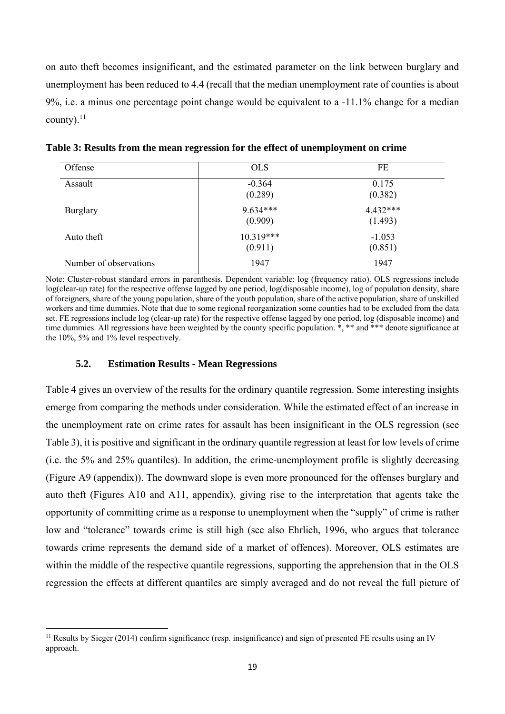on auto theft becomes insignificant, and the estimated parameter on the link between burglary and unemployment has been reduced to 4.4 (recall that the median unemployment rate of counties is about 9%, i.e. a minus one percentage point change would be equivalent to a -11.1% change for a median county). $^{11}$ 

| Offense                | <b>OLS</b>             | FE                  |
|------------------------|------------------------|---------------------|
| Assault                | $-0.364$<br>(0.289)    | 0.175<br>(0.382)    |
| <b>Burglary</b>        | $9.634***$<br>(0.909)  | 4.432***<br>(1.493) |
| Auto theft             | $10.319***$<br>(0.911) | $-1.053$<br>(0.851) |
| Number of observations | 1947                   | 1947                |

**Table 3: Results from the mean regression for the effect of unemployment on crime** 

Note: Cluster-robust standard errors in parenthesis. Dependent variable: log (frequency ratio). OLS regressions include log(clear-up rate) for the respective offense lagged by one period, log(disposable income), log of population density, share of foreigners, share of the young population, share of the youth population, share of the active population, share of unskilled workers and time dummies. Note that due to some regional reorganization some counties had to be excluded from the data set. FE regressions include log (clear-up rate) for the respective offense lagged by one period, log (disposable income) and time dummies. All regressions have been weighted by the county specific population.<sup>\*</sup>, \*\* and \*\*\* denote significance at the 10%, 5% and 1% level respectively.

## **5.2. Estimation Results - Mean Regressions**

Table 4 gives an overview of the results for the ordinary quantile regression. Some interesting insights emerge from comparing the methods under consideration. While the estimated effect of an increase in the unemployment rate on crime rates for assault has been insignificant in the OLS regression (see Table 3), it is positive and significant in the ordinary quantile regression at least for low levels of crime (i.e. the 5% and 25% quantiles). In addition, the crime-unemployment profile is slightly decreasing (Figure A9 (appendix)). The downward slope is even more pronounced for the offenses burglary and auto theft (Figures A10 and A11, appendix), giving rise to the interpretation that agents take the opportunity of committing crime as a response to unemployment when the "supply" of crime is rather low and "tolerance" towards crime is still high (see also Ehrlich, 1996, who argues that tolerance towards crime represents the demand side of a market of offences). Moreover, OLS estimates are within the middle of the respective quantile regressions, supporting the apprehension that in the OLS regression the effects at different quantiles are simply averaged and do not reveal the full picture of

 $11$  Results by Sieger (2014) confirm significance (resp. insignificance) and sign of presented FE results using an IV approach.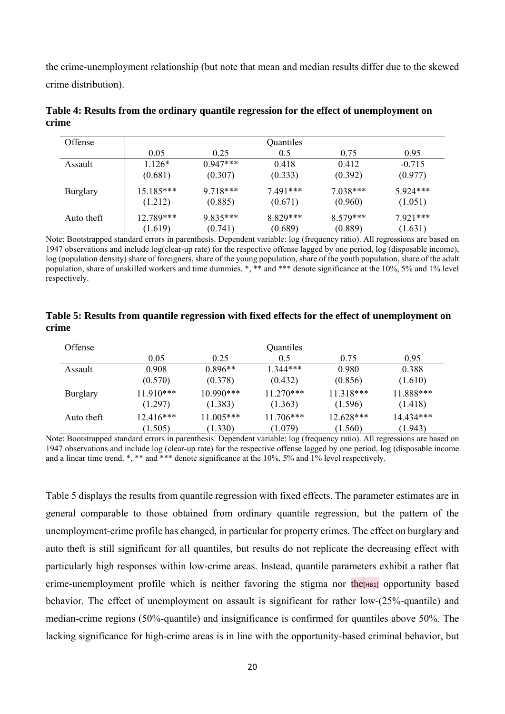the crime-unemployment relationship (but note that mean and median results differ due to the skewed crime distribution).

| Offense         |             | Quantiles  |            |            |            |  |
|-----------------|-------------|------------|------------|------------|------------|--|
|                 | 0.05        | 0.25       | 0.5        | 0.75       | 0.95       |  |
| Assault         | $1126*$     | $0.947***$ | 0.418      | 0.412      | $-0.715$   |  |
|                 | (0.681)     | (0.307)    | (0.333)    | (0.392)    | (0.977)    |  |
| <b>Burglary</b> | $15.185***$ | $9718***$  | $7.491***$ | $7.038***$ | $5924***$  |  |
|                 | (1.212)     | (0.885)    | (0.671)    | (0.960)    | (1.051)    |  |
| Auto theft      | 12.789***   | $9.835***$ | 8 829***   | $8.579***$ | $7.921***$ |  |
|                 | (1.619)     | (0.741)    | (0.689)    | (0.889)    | (1.631)    |  |

**Table 4: Results from the ordinary quantile regression for the effect of unemployment on crime** 

Note: Bootstrapped standard errors in parenthesis. Dependent variable: log (frequency ratio). All regressions are based on 1947 observations and include log(clear-up rate) for the respective offense lagged by one period, log (disposable income), log (population density) share of foreigners, share of the young population, share of the youth population, share of the adult population, share of unskilled workers and time dummies. \*, \*\* and \*\*\* denote significance at the 10%, 5% and 1% level respectively.

# **Table 5: Results from quantile regression with fixed effects for the effect of unemployment on crime**

| Offense         | Quantiles   |             |             |             |            |
|-----------------|-------------|-------------|-------------|-------------|------------|
|                 | 0.05        | 0.25        | 0.5         | 0.75        | 0.95       |
| Assault         | 0.908       | $0.896**$   | 1 344***    | 0.980       | 0.388      |
|                 | (0.570)     | (0.378)     | (0.432)     | (0.856)     | (1.610)    |
| <b>Burglary</b> | $11.910***$ | $10.990***$ | $11.270***$ | $11.318***$ | 11.888***  |
|                 | (1.297)     | (1.383)     | (1.363)     | (1.596)     | (1.418)    |
| Auto theft      | $12.416***$ | 11.005***   | $11.706***$ | 12.628***   | 14 4 34*** |
|                 | (1.505)     | (1.330)     | (1.079)     | (1.560)     | (1.943)    |

Note: Bootstrapped standard errors in parenthesis. Dependent variable: log (frequency ratio). All regressions are based on 1947 observations and include log (clear-up rate) for the respective offense lagged by one period, log (disposable income and a linear time trend. \*, \*\* and \*\*\* denote significance at the 10%, 5% and 1% level respectively.

Table 5 displays the results from quantile regression with fixed effects. The parameter estimates are in general comparable to those obtained from ordinary quantile regression, but the pattern of the unemployment-crime profile has changed, in particular for property crimes. The effect on burglary and auto theft is still significant for all quantiles, but results do not replicate the decreasing effect with particularly high responses within low-crime areas. Instead, quantile parameters exhibit a rather flat crime-unemployment profile which is neither favoring the stigma nor  $\text{the}_{\text{[HB1]}}$  opportunity based behavior. The effect of unemployment on assault is significant for rather low-(25%-quantile) and median-crime regions (50%-quantile) and insignificance is confirmed for quantiles above 50%. The lacking significance for high-crime areas is in line with the opportunity-based criminal behavior, but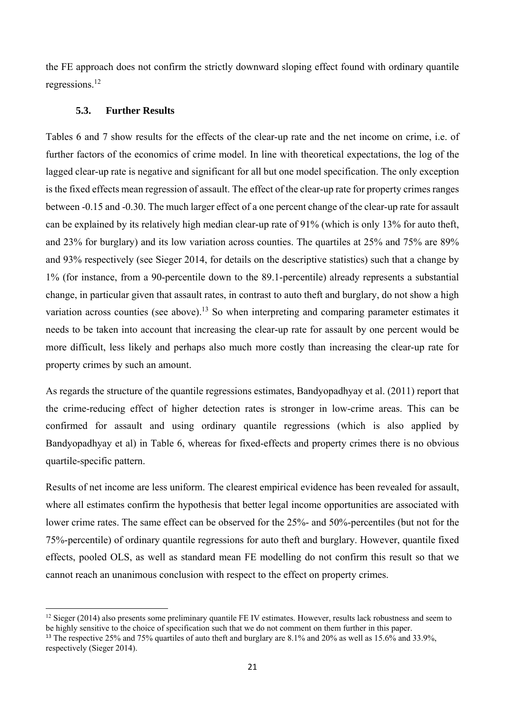the FE approach does not confirm the strictly downward sloping effect found with ordinary quantile regressions.12

# **5.3. Further Results**

Tables 6 and 7 show results for the effects of the clear-up rate and the net income on crime, i.e. of further factors of the economics of crime model. In line with theoretical expectations, the log of the lagged clear-up rate is negative and significant for all but one model specification. The only exception is the fixed effects mean regression of assault. The effect of the clear-up rate for property crimes ranges between -0.15 and -0.30. The much larger effect of a one percent change of the clear-up rate for assault can be explained by its relatively high median clear-up rate of 91% (which is only 13% for auto theft, and 23% for burglary) and its low variation across counties. The quartiles at 25% and 75% are 89% and 93% respectively (see Sieger 2014, for details on the descriptive statistics) such that a change by 1% (for instance, from a 90-percentile down to the 89.1-percentile) already represents a substantial change, in particular given that assault rates, in contrast to auto theft and burglary, do not show a high variation across counties (see above).13 So when interpreting and comparing parameter estimates it needs to be taken into account that increasing the clear-up rate for assault by one percent would be more difficult, less likely and perhaps also much more costly than increasing the clear-up rate for property crimes by such an amount.

As regards the structure of the quantile regressions estimates, Bandyopadhyay et al. (2011) report that the crime-reducing effect of higher detection rates is stronger in low-crime areas. This can be confirmed for assault and using ordinary quantile regressions (which is also applied by Bandyopadhyay et al) in Table 6, whereas for fixed-effects and property crimes there is no obvious quartile-specific pattern.

Results of net income are less uniform. The clearest empirical evidence has been revealed for assault, where all estimates confirm the hypothesis that better legal income opportunities are associated with lower crime rates. The same effect can be observed for the 25%- and 50%-percentiles (but not for the 75%-percentile) of ordinary quantile regressions for auto theft and burglary. However, quantile fixed effects, pooled OLS, as well as standard mean FE modelling do not confirm this result so that we cannot reach an unanimous conclusion with respect to the effect on property crimes.

 $12$  Sieger (2014) also presents some preliminary quantile FE IV estimates. However, results lack robustness and seem to be highly sensitive to the choice of specification such that we do not comment on them further in this paper.

<sup>&</sup>lt;sup>13</sup> The respective 25% and 75% quartiles of auto theft and burglary are 8.1% and 20% as well as 15.6% and 33.9%, respectively (Sieger 2014).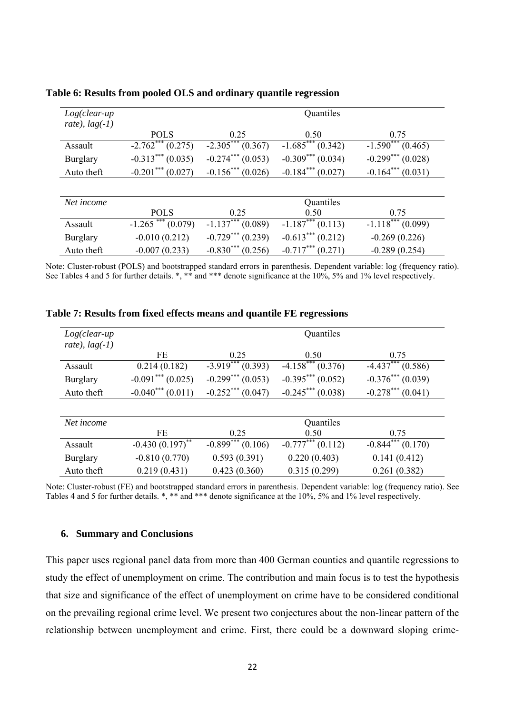| $Log(clear-up$<br>rate), $lag(-1)$ | Quantiles            |                       |                       |                    |  |
|------------------------------------|----------------------|-----------------------|-----------------------|--------------------|--|
|                                    | <b>POLS</b>          | 0.25                  | 0.50                  | 0.75               |  |
| Assault                            | $-2.762***(0.275)$   | $-2.305***(0.367)$    | $-1.685***(0.342)$    | $-1.590***(0.465)$ |  |
| Burglary                           | $-0.313***(0.035)$   | $-0.274***(0.053)$    | $-0.309***$ (0.034)   | $-0.299***(0.028)$ |  |
| Auto theft                         | $-0.201***(0.027)$   | $-0.156***(0.026)$    | $-0.184***(0.027)$    | $-0.164***(0.031)$ |  |
|                                    |                      |                       |                       |                    |  |
| Net income                         |                      |                       | Quantiles             |                    |  |
|                                    | <b>POLS</b>          | 0.25                  | 0.50                  | 0.75               |  |
| Assault                            | $-1.265$ *** (0.079) | $-1.137***(0.089)$    | $-1.187***$ (0.113)   | $-1.118***(0.099)$ |  |
| Burglary                           | $-0.010(0.212)$      | $-0.729***$ $(0.239)$ | $-0.613***(0.212)$    | $-0.269(0.226)$    |  |
| Auto theft                         | $-0.007(0.233)$      | $-0.830***(0.256)$    | $-0.717***$ $(0.271)$ | $-0.289(0.254)$    |  |

**Table 6: Results from pooled OLS and ordinary quantile regression** 

Note: Cluster-robust (POLS) and bootstrapped standard errors in parenthesis. Dependent variable: log (frequency ratio). See Tables 4 and 5 for further details.  $*,$  \*\* and \*\*\* denote significance at the 10%, 5% and 1% level respectively.

| $Log(clear-up$<br>rate), $lag(-1)$ | Quantiles              |                      |                                   |                                   |  |
|------------------------------------|------------------------|----------------------|-----------------------------------|-----------------------------------|--|
|                                    | FE                     | 0.25                 | 0.50                              | 0.75                              |  |
| Assault                            | 0.214(0.182)           | $-3.919***$ (0.393)  | $-4.158***(0.376)$                | $\overline{-4.437}^{***}$ (0.586) |  |
| <b>Burglary</b>                    | $-0.091***$ (0.025)    | $-0.299***(0.053)$   | $-0.395***(0.052)$                | $-0.376***$ (0.039)               |  |
| Auto theft                         | $-0.040^{***}$ (0.011) | $-0.252***(0.047)$   | $-0.245***(0.038)$                | $-0.278***(0.041)$                |  |
|                                    |                        |                      |                                   |                                   |  |
| Net income                         |                        |                      | Quantiles                         |                                   |  |
|                                    | FE                     | 0.25                 | 0.50                              | 0.75                              |  |
| Assault                            | $-0.430(0.197)^{**}$   | $-0.899$ *** (0.106) | $\overline{-0.777}^{***}$ (0.112) | $-0.844***(0.170)$                |  |
| <b>Burglary</b>                    | $-0.810(0.770)$        | 0.593(0.391)         | 0.220(0.403)                      | 0.141(0.412)                      |  |
| Auto theft                         | 0.219(0.431)           | 0.423(0.360)         | 0.315(0.299)                      | 0.261(0.382)                      |  |

**Table 7: Results from fixed effects means and quantile FE regressions** 

Note: Cluster-robust (FE) and bootstrapped standard errors in parenthesis. Dependent variable: log (frequency ratio). See Tables 4 and 5 for further details. \*, \*\* and \*\*\* denote significance at the 10%, 5% and 1% level respectively.

# **6. Summary and Conclusions**

This paper uses regional panel data from more than 400 German counties and quantile regressions to study the effect of unemployment on crime. The contribution and main focus is to test the hypothesis that size and significance of the effect of unemployment on crime have to be considered conditional on the prevailing regional crime level. We present two conjectures about the non-linear pattern of the relationship between unemployment and crime. First, there could be a downward sloping crime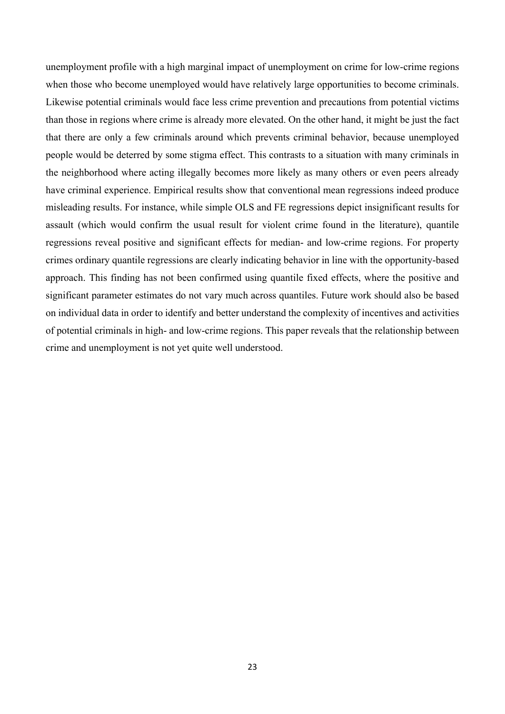unemployment profile with a high marginal impact of unemployment on crime for low-crime regions when those who become unemployed would have relatively large opportunities to become criminals. Likewise potential criminals would face less crime prevention and precautions from potential victims than those in regions where crime is already more elevated. On the other hand, it might be just the fact that there are only a few criminals around which prevents criminal behavior, because unemployed people would be deterred by some stigma effect. This contrasts to a situation with many criminals in the neighborhood where acting illegally becomes more likely as many others or even peers already have criminal experience. Empirical results show that conventional mean regressions indeed produce misleading results. For instance, while simple OLS and FE regressions depict insignificant results for assault (which would confirm the usual result for violent crime found in the literature), quantile regressions reveal positive and significant effects for median- and low-crime regions. For property crimes ordinary quantile regressions are clearly indicating behavior in line with the opportunity-based approach. This finding has not been confirmed using quantile fixed effects, where the positive and significant parameter estimates do not vary much across quantiles. Future work should also be based on individual data in order to identify and better understand the complexity of incentives and activities of potential criminals in high- and low-crime regions. This paper reveals that the relationship between crime and unemployment is not yet quite well understood.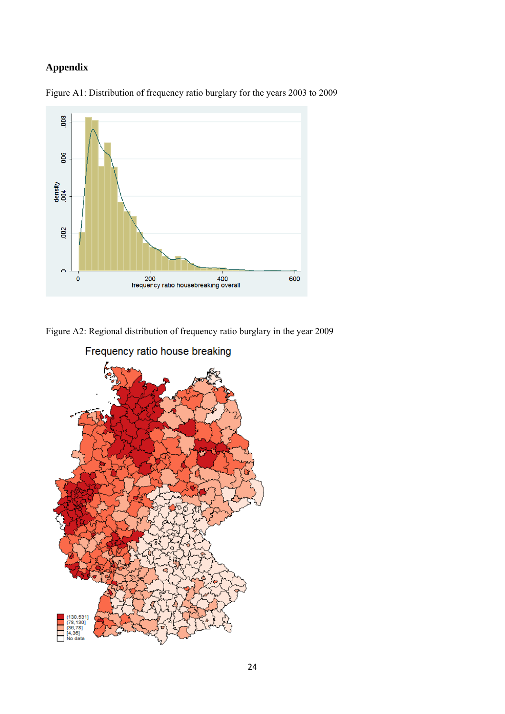# **Appendix**





Figure A2: Regional distribution of frequency ratio burglary in the year 2009



Frequency ratio house breaking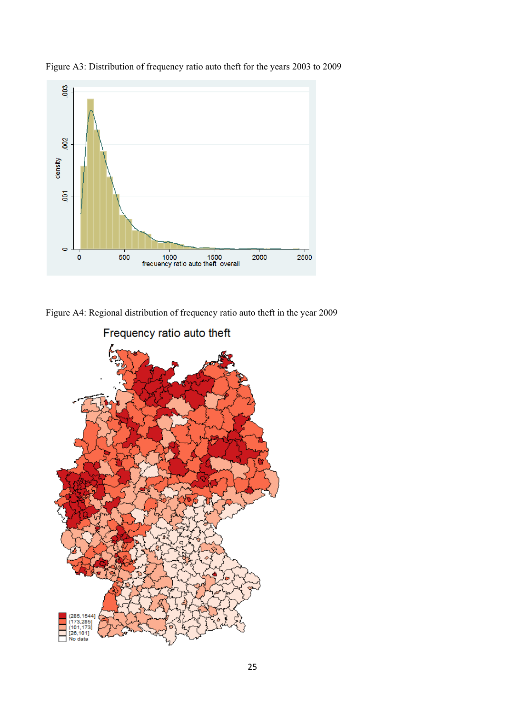

Figure A3: Distribution of frequency ratio auto theft for the years 2003 to 2009

Figure A4: Regional distribution of frequency ratio auto theft in the year 2009

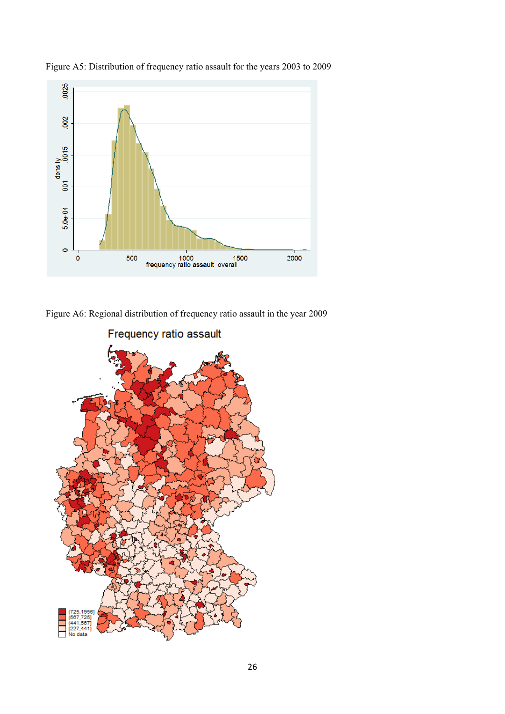

Figure A5: Distribution of frequency ratio assault for the years 2003 to 2009

Figure A6: Regional distribution of frequency ratio assault in the year 2009

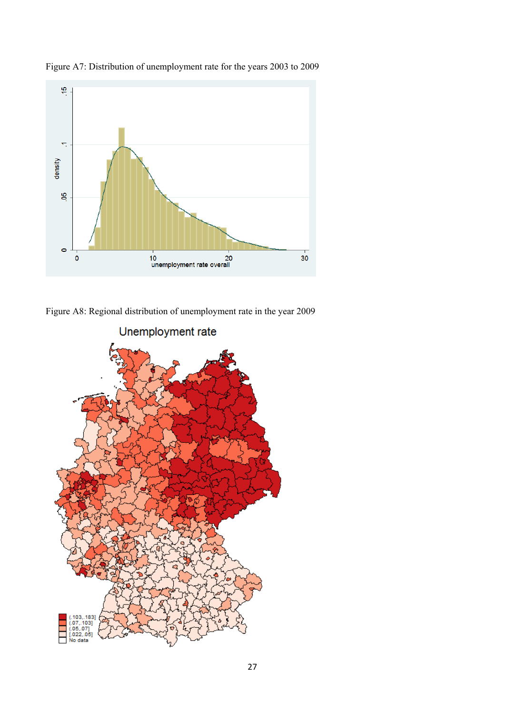

Figure A7: Distribution of unemployment rate for the years 2003 to 2009

Figure A8: Regional distribution of unemployment rate in the year 2009

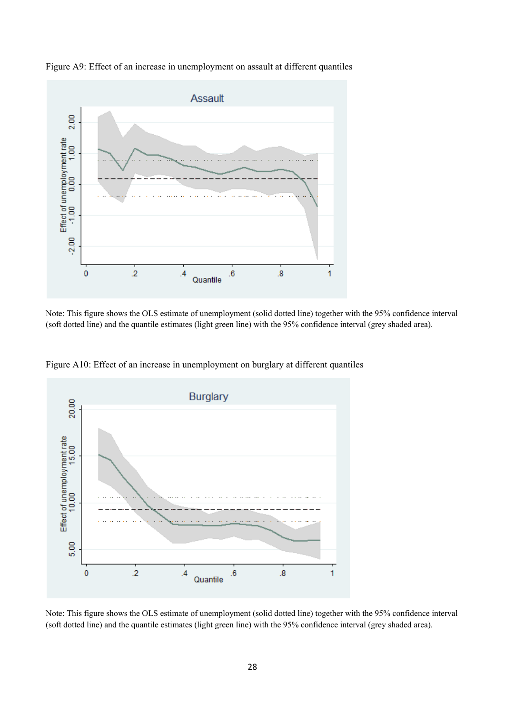

Figure A9: Effect of an increase in unemployment on assault at different quantiles

Note: This figure shows the OLS estimate of unemployment (solid dotted line) together with the 95% confidence interval (soft dotted line) and the quantile estimates (light green line) with the 95% confidence interval (grey shaded area).



Figure A10: Effect of an increase in unemployment on burglary at different quantiles

Note: This figure shows the OLS estimate of unemployment (solid dotted line) together with the 95% confidence interval (soft dotted line) and the quantile estimates (light green line) with the 95% confidence interval (grey shaded area).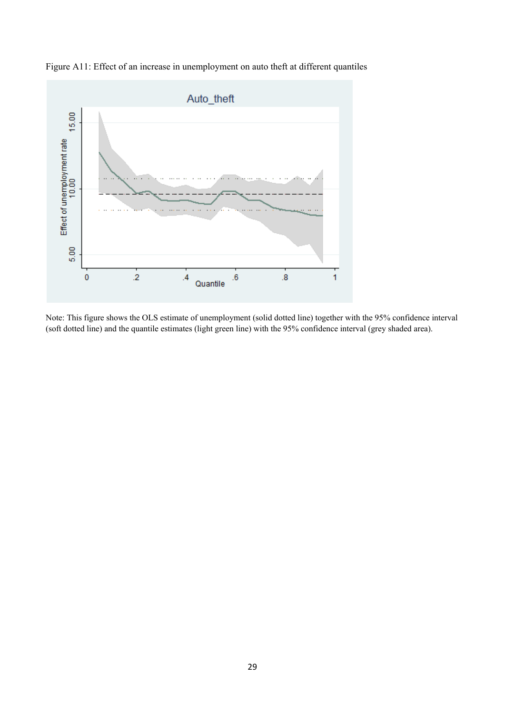

Figure A11: Effect of an increase in unemployment on auto theft at different quantiles

Note: This figure shows the OLS estimate of unemployment (solid dotted line) together with the 95% confidence interval (soft dotted line) and the quantile estimates (light green line) with the 95% confidence interval (grey shaded area).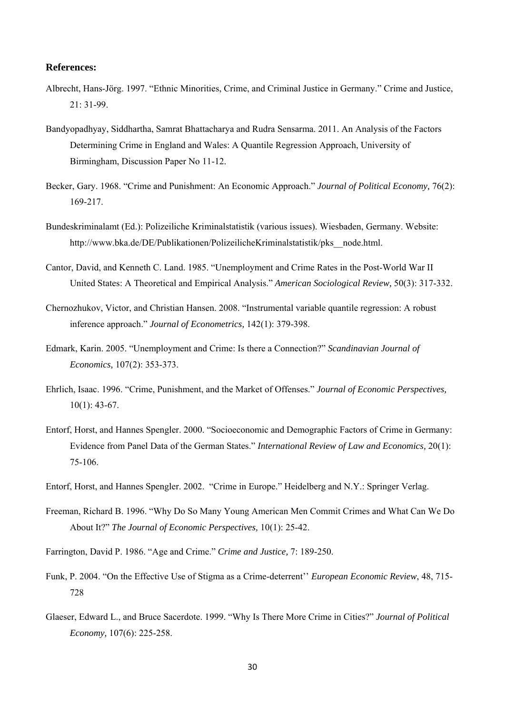#### **References:**

- Albrecht, Hans-Jörg. 1997. "Ethnic Minorities, Crime, and Criminal Justice in Germany." Crime and Justice, 21: 31-99.
- Bandyopadhyay, Siddhartha, Samrat Bhattacharya and Rudra Sensarma. 2011. An Analysis of the Factors Determining Crime in England and Wales: A Quantile Regression Approach, University of Birmingham, Discussion Paper No 11-12.
- Becker, Gary. 1968. "Crime and Punishment: An Economic Approach." *Journal of Political Economy,* 76(2): 169-217.
- Bundeskriminalamt (Ed.): Polizeiliche Kriminalstatistik (various issues). Wiesbaden, Germany. Website: http://www.bka.de/DE/Publikationen/PolizeilicheKriminalstatistik/pks\_\_node.html.
- Cantor, David, and Kenneth C. Land. 1985. "Unemployment and Crime Rates in the Post-World War II United States: A Theoretical and Empirical Analysis." *American Sociological Review,* 50(3): 317-332.
- Chernozhukov, Victor, and Christian Hansen. 2008. "Instrumental variable quantile regression: A robust inference approach." *Journal of Econometrics,* 142(1): 379-398.
- Edmark, Karin. 2005. "Unemployment and Crime: Is there a Connection?" *Scandinavian Journal of Economics,* 107(2): 353-373.
- Ehrlich, Isaac. 1996. "Crime, Punishment, and the Market of Offenses." *Journal of Economic Perspectives,*  $10(1)$ : 43-67.
- Entorf, Horst, and Hannes Spengler. 2000. "Socioeconomic and Demographic Factors of Crime in Germany: Evidence from Panel Data of the German States." *International Review of Law and Economics,* 20(1): 75-106.
- Entorf, Horst, and Hannes Spengler. 2002. "Crime in Europe." Heidelberg and N.Y.: Springer Verlag.
- Freeman, Richard B. 1996. "Why Do So Many Young American Men Commit Crimes and What Can We Do About It?" *The Journal of Economic Perspectives,* 10(1): 25-42.
- Farrington, David P. 1986. "Age and Crime." *Crime and Justice,* 7: 189-250.
- Funk, P. 2004. "On the Effective Use of Stigma as a Crime-deterrent'' *European Economic Review*, 48, 715- 728
- Glaeser, Edward L., and Bruce Sacerdote. 1999. "Why Is There More Crime in Cities?" *Journal of Political Economy,* 107(6): 225-258.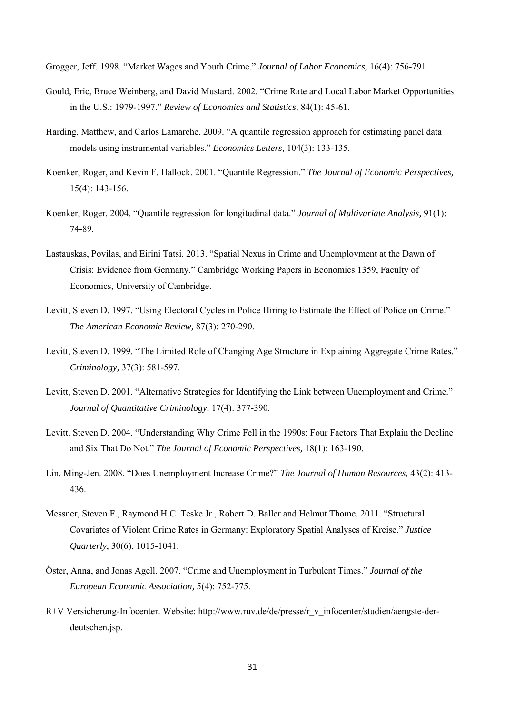Grogger, Jeff. 1998. "Market Wages and Youth Crime." *Journal of Labor Economics,* 16(4): 756-791.

- Gould, Eric, Bruce Weinberg, and David Mustard. 2002. "Crime Rate and Local Labor Market Opportunities in the U.S.: 1979-1997." *Review of Economics and Statistics,* 84(1): 45-61.
- Harding, Matthew, and Carlos Lamarche. 2009. "A quantile regression approach for estimating panel data models using instrumental variables." *Economics Letters,* 104(3): 133-135.
- Koenker, Roger, and Kevin F. Hallock. 2001. "Quantile Regression." *The Journal of Economic Perspectives,* 15(4): 143-156.
- Koenker, Roger. 2004. "Quantile regression for longitudinal data." *Journal of Multivariate Analysis,* 91(1): 74-89.
- Lastauskas, Povilas, and Eirini Tatsi. 2013. "Spatial Nexus in Crime and Unemployment at the Dawn of Crisis: Evidence from Germany." Cambridge Working Papers in Economics 1359, Faculty of Economics, University of Cambridge.
- Levitt, Steven D. 1997. "Using Electoral Cycles in Police Hiring to Estimate the Effect of Police on Crime." *The American Economic Review,* 87(3): 270-290.
- Levitt, Steven D. 1999. "The Limited Role of Changing Age Structure in Explaining Aggregate Crime Rates." *Criminology,* 37(3): 581-597.
- Levitt, Steven D. 2001. "Alternative Strategies for Identifying the Link between Unemployment and Crime." *Journal of Quantitative Criminology,* 17(4): 377-390.
- Levitt, Steven D. 2004. "Understanding Why Crime Fell in the 1990s: Four Factors That Explain the Decline and Six That Do Not." *The Journal of Economic Perspectives,* 18(1): 163-190.
- Lin, Ming-Jen. 2008. "Does Unemployment Increase Crime?" *The Journal of Human Resources,* 43(2): 413- 436.
- Messner, Steven F., Raymond H.C. Teske Jr., Robert D. Baller and Helmut Thome. 2011. "Structural Covariates of Violent Crime Rates in Germany: Exploratory Spatial Analyses of Kreise." *Justice Quarterly*, 30(6), 1015-1041.
- Öster, Anna, and Jonas Agell. 2007. "Crime and Unemployment in Turbulent Times." *Journal of the European Economic Association,* 5(4): 752-775.
- R+V Versicherung-Infocenter. Website: http://www.ruv.de/de/presse/r\_v\_infocenter/studien/aengste-derdeutschen.jsp.